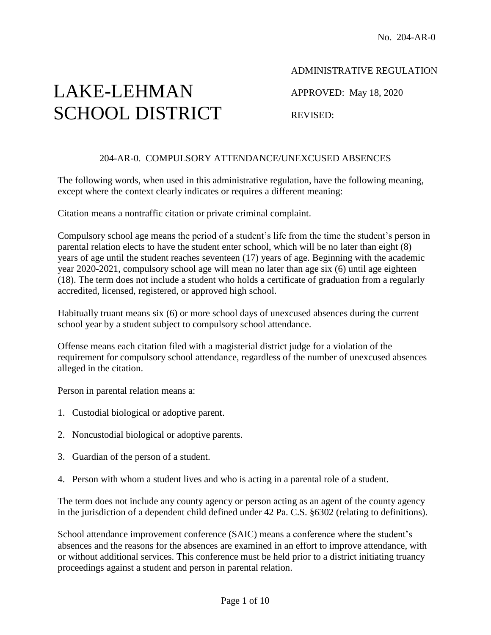# LAKE-LEHMAN SCHOOL DISTRICT

ADMINISTRATIVE REGULATION

APPROVED: May 18, 2020

REVISED:

### 204-AR-0. COMPULSORY ATTENDANCE/UNEXCUSED ABSENCES

The following words, when used in this administrative regulation, have the following meaning, except where the context clearly indicates or requires a different meaning:

Citation means a nontraffic citation or private criminal complaint.

Compulsory school age means the period of a student's life from the time the student's person in parental relation elects to have the student enter school, which will be no later than eight (8) years of age until the student reaches seventeen (17) years of age. Beginning with the academic year 2020-2021, compulsory school age will mean no later than age six (6) until age eighteen (18). The term does not include a student who holds a certificate of graduation from a regularly accredited, licensed, registered, or approved high school.

Habitually truant means six (6) or more school days of unexcused absences during the current school year by a student subject to compulsory school attendance.

Offense means each citation filed with a magisterial district judge for a violation of the requirement for compulsory school attendance, regardless of the number of unexcused absences alleged in the citation.

Person in parental relation means a:

- 1. Custodial biological or adoptive parent.
- 2. Noncustodial biological or adoptive parents.
- 3. Guardian of the person of a student.
- 4. Person with whom a student lives and who is acting in a parental role of a student.

The term does not include any county agency or person acting as an agent of the county agency in the jurisdiction of a dependent child defined under 42 Pa. C.S. §6302 (relating to definitions).

School attendance improvement conference (SAIC) means a conference where the student's absences and the reasons for the absences are examined in an effort to improve attendance, with or without additional services. This conference must be held prior to a district initiating truancy proceedings against a student and person in parental relation.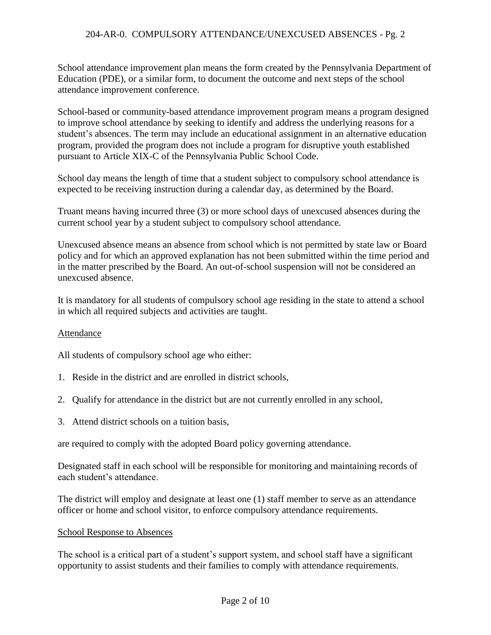School attendance improvement plan means the form created by the Pennsylvania Department of Education (PDE), or a similar form, to document the outcome and next steps of the school attendance improvement conference.

School-based or community-based attendance improvement program means a program designed to improve school attendance by seeking to identify and address the underlying reasons for a student's absences. The term may include an educational assignment in an alternative education program, provided the program does not include a program for disruptive youth established pursuant to Article XIX-C of the Pennsylvania Public School Code.

School day means the length of time that a student subject to compulsory school attendance is expected to be receiving instruction during a calendar day, as determined by the Board.

Truant means having incurred three (3) or more school days of unexcused absences during the current school year by a student subject to compulsory school attendance.

Unexcused absence means an absence from school which is not permitted by state law or Board policy and for which an approved explanation has not been submitted within the time period and in the matter prescribed by the Board. An out-of-school suspension will not be considered an unexcused absence.

It is mandatory for all students of compulsory school age residing in the state to attend a school in which all required subjects and activities are taught.

#### Attendance

All students of compulsory school age who either:

- 1. Reside in the district and are enrolled in district schools,
- 2. Qualify for attendance in the district but are not currently enrolled in any school,
- 3. Attend district schools on a tuition basis,

are required to comply with the adopted Board policy governing attendance.

Designated staff in each school will be responsible for monitoring and maintaining records of each student's attendance.

The district will employ and designate at least one (1) staff member to serve as an attendance officer or home and school visitor, to enforce compulsory attendance requirements.

#### School Response to Absences

The school is a critical part of a student's support system, and school staff have a significant opportunity to assist students and their families to comply with attendance requirements.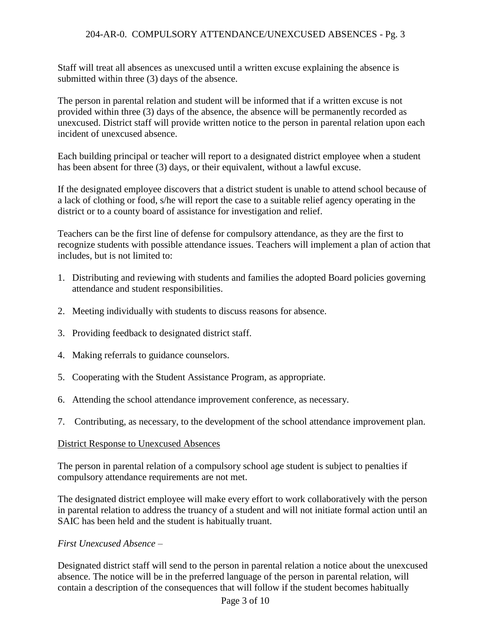Staff will treat all absences as unexcused until a written excuse explaining the absence is submitted within three (3) days of the absence.

The person in parental relation and student will be informed that if a written excuse is not provided within three (3) days of the absence, the absence will be permanently recorded as unexcused. District staff will provide written notice to the person in parental relation upon each incident of unexcused absence.

Each building principal or teacher will report to a designated district employee when a student has been absent for three (3) days, or their equivalent, without a lawful excuse.

If the designated employee discovers that a district student is unable to attend school because of a lack of clothing or food, s/he will report the case to a suitable relief agency operating in the district or to a county board of assistance for investigation and relief.

Teachers can be the first line of defense for compulsory attendance, as they are the first to recognize students with possible attendance issues. Teachers will implement a plan of action that includes, but is not limited to:

- 1. Distributing and reviewing with students and families the adopted Board policies governing attendance and student responsibilities.
- 2. Meeting individually with students to discuss reasons for absence.
- 3. Providing feedback to designated district staff.
- 4. Making referrals to guidance counselors.
- 5. Cooperating with the Student Assistance Program, as appropriate.
- 6. Attending the school attendance improvement conference, as necessary.
- 7. Contributing, as necessary, to the development of the school attendance improvement plan.

## District Response to Unexcused Absences

The person in parental relation of a compulsory school age student is subject to penalties if compulsory attendance requirements are not met.

The designated district employee will make every effort to work collaboratively with the person in parental relation to address the truancy of a student and will not initiate formal action until an SAIC has been held and the student is habitually truant.

## *First Unexcused Absence –*

Designated district staff will send to the person in parental relation a notice about the unexcused absence. The notice will be in the preferred language of the person in parental relation, will contain a description of the consequences that will follow if the student becomes habitually

#### Page 3 of 10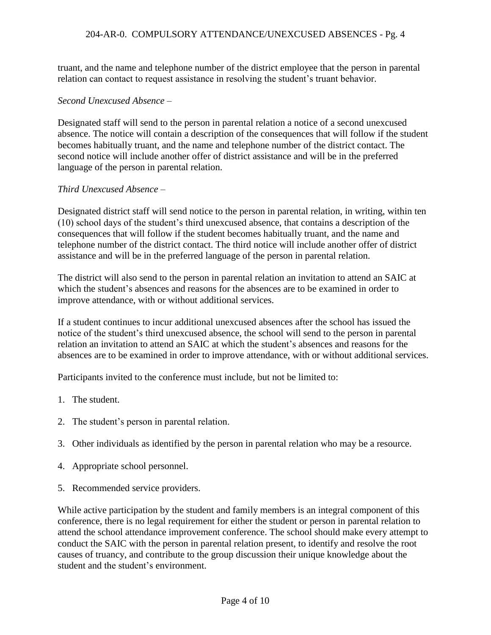truant, and the name and telephone number of the district employee that the person in parental relation can contact to request assistance in resolving the student's truant behavior.

#### *Second Unexcused Absence –*

Designated staff will send to the person in parental relation a notice of a second unexcused absence. The notice will contain a description of the consequences that will follow if the student becomes habitually truant, and the name and telephone number of the district contact. The second notice will include another offer of district assistance and will be in the preferred language of the person in parental relation.

#### *Third Unexcused Absence –*

Designated district staff will send notice to the person in parental relation, in writing, within ten (10) school days of the student's third unexcused absence, that contains a description of the consequences that will follow if the student becomes habitually truant, and the name and telephone number of the district contact. The third notice will include another offer of district assistance and will be in the preferred language of the person in parental relation.

The district will also send to the person in parental relation an invitation to attend an SAIC at which the student's absences and reasons for the absences are to be examined in order to improve attendance, with or without additional services.

If a student continues to incur additional unexcused absences after the school has issued the notice of the student's third unexcused absence, the school will send to the person in parental relation an invitation to attend an SAIC at which the student's absences and reasons for the absences are to be examined in order to improve attendance, with or without additional services.

Participants invited to the conference must include, but not be limited to:

- 1. The student.
- 2. The student's person in parental relation.
- 3. Other individuals as identified by the person in parental relation who may be a resource.
- 4. Appropriate school personnel.
- 5. Recommended service providers.

While active participation by the student and family members is an integral component of this conference, there is no legal requirement for either the student or person in parental relation to attend the school attendance improvement conference. The school should make every attempt to conduct the SAIC with the person in parental relation present, to identify and resolve the root causes of truancy, and contribute to the group discussion their unique knowledge about the student and the student's environment.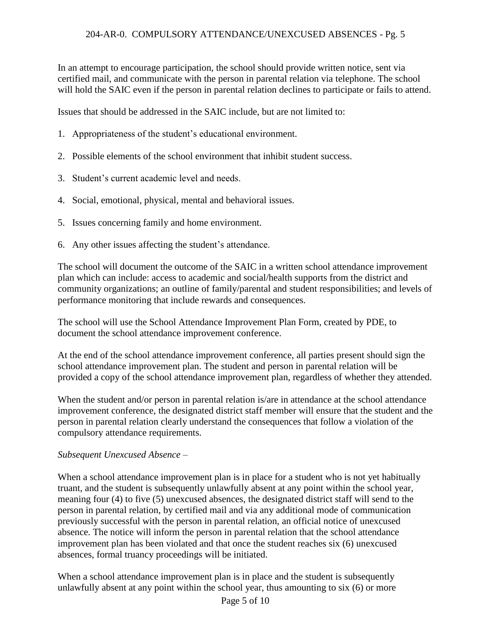In an attempt to encourage participation, the school should provide written notice, sent via certified mail, and communicate with the person in parental relation via telephone. The school will hold the SAIC even if the person in parental relation declines to participate or fails to attend.

Issues that should be addressed in the SAIC include, but are not limited to:

- 1. Appropriateness of the student's educational environment.
- 2. Possible elements of the school environment that inhibit student success.
- 3. Student's current academic level and needs.
- 4. Social, emotional, physical, mental and behavioral issues.
- 5. Issues concerning family and home environment.
- 6. Any other issues affecting the student's attendance.

The school will document the outcome of the SAIC in a written school attendance improvement plan which can include: access to academic and social/health supports from the district and community organizations; an outline of family/parental and student responsibilities; and levels of performance monitoring that include rewards and consequences.

The school will use the School Attendance Improvement Plan Form, created by PDE, to document the school attendance improvement conference.

At the end of the school attendance improvement conference, all parties present should sign the school attendance improvement plan. The student and person in parental relation will be provided a copy of the school attendance improvement plan, regardless of whether they attended.

When the student and/or person in parental relation is/are in attendance at the school attendance improvement conference, the designated district staff member will ensure that the student and the person in parental relation clearly understand the consequences that follow a violation of the compulsory attendance requirements.

#### *Subsequent Unexcused Absence –*

When a school attendance improvement plan is in place for a student who is not yet habitually truant, and the student is subsequently unlawfully absent at any point within the school year, meaning four (4) to five (5) unexcused absences, the designated district staff will send to the person in parental relation, by certified mail and via any additional mode of communication previously successful with the person in parental relation, an official notice of unexcused absence. The notice will inform the person in parental relation that the school attendance improvement plan has been violated and that once the student reaches six (6) unexcused absences, formal truancy proceedings will be initiated.

When a school attendance improvement plan is in place and the student is subsequently unlawfully absent at any point within the school year, thus amounting to six (6) or more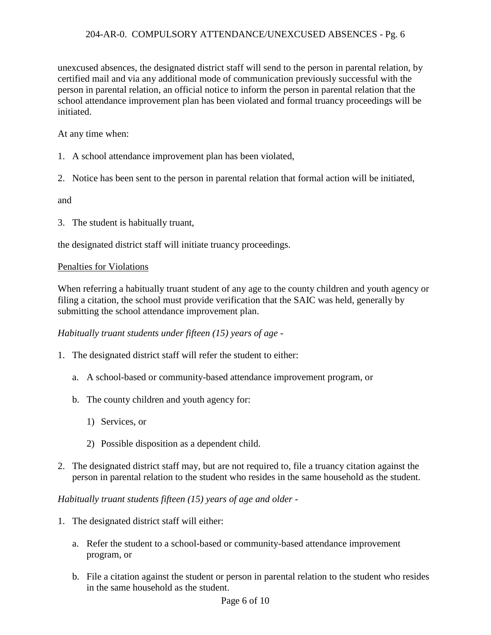unexcused absences, the designated district staff will send to the person in parental relation, by certified mail and via any additional mode of communication previously successful with the person in parental relation, an official notice to inform the person in parental relation that the school attendance improvement plan has been violated and formal truancy proceedings will be initiated.

At any time when:

- 1. A school attendance improvement plan has been violated,
- 2. Notice has been sent to the person in parental relation that formal action will be initiated,

and

3. The student is habitually truant,

the designated district staff will initiate truancy proceedings.

#### Penalties for Violations

When referring a habitually truant student of any age to the county children and youth agency or filing a citation, the school must provide verification that the SAIC was held, generally by submitting the school attendance improvement plan.

*Habitually truant students under fifteen (15) years of age -*

- 1. The designated district staff will refer the student to either:
	- a. A school-based or community-based attendance improvement program, or
	- b. The county children and youth agency for:
		- 1) Services, or
		- 2) Possible disposition as a dependent child.
- 2. The designated district staff may, but are not required to, file a truancy citation against the person in parental relation to the student who resides in the same household as the student.

*Habitually truant students fifteen (15) years of age and older -*

- 1. The designated district staff will either:
	- a. Refer the student to a school-based or community-based attendance improvement program, or
	- b. File a citation against the student or person in parental relation to the student who resides in the same household as the student.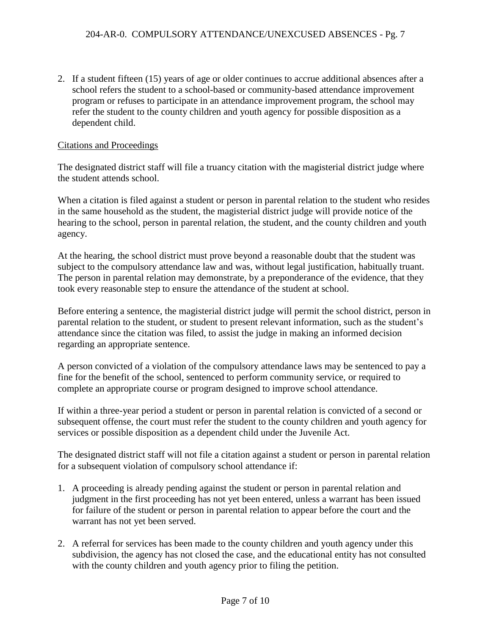2. If a student fifteen (15) years of age or older continues to accrue additional absences after a school refers the student to a school-based or community-based attendance improvement program or refuses to participate in an attendance improvement program, the school may refer the student to the county children and youth agency for possible disposition as a dependent child.

#### Citations and Proceedings

The designated district staff will file a truancy citation with the magisterial district judge where the student attends school.

When a citation is filed against a student or person in parental relation to the student who resides in the same household as the student, the magisterial district judge will provide notice of the hearing to the school, person in parental relation, the student, and the county children and youth agency.

At the hearing, the school district must prove beyond a reasonable doubt that the student was subject to the compulsory attendance law and was, without legal justification, habitually truant. The person in parental relation may demonstrate, by a preponderance of the evidence, that they took every reasonable step to ensure the attendance of the student at school.

Before entering a sentence, the magisterial district judge will permit the school district, person in parental relation to the student, or student to present relevant information, such as the student's attendance since the citation was filed, to assist the judge in making an informed decision regarding an appropriate sentence.

A person convicted of a violation of the compulsory attendance laws may be sentenced to pay a fine for the benefit of the school, sentenced to perform community service, or required to complete an appropriate course or program designed to improve school attendance.

If within a three-year period a student or person in parental relation is convicted of a second or subsequent offense, the court must refer the student to the county children and youth agency for services or possible disposition as a dependent child under the Juvenile Act.

The designated district staff will not file a citation against a student or person in parental relation for a subsequent violation of compulsory school attendance if:

- 1. A proceeding is already pending against the student or person in parental relation and judgment in the first proceeding has not yet been entered, unless a warrant has been issued for failure of the student or person in parental relation to appear before the court and the warrant has not yet been served.
- 2. A referral for services has been made to the county children and youth agency under this subdivision, the agency has not closed the case, and the educational entity has not consulted with the county children and youth agency prior to filing the petition.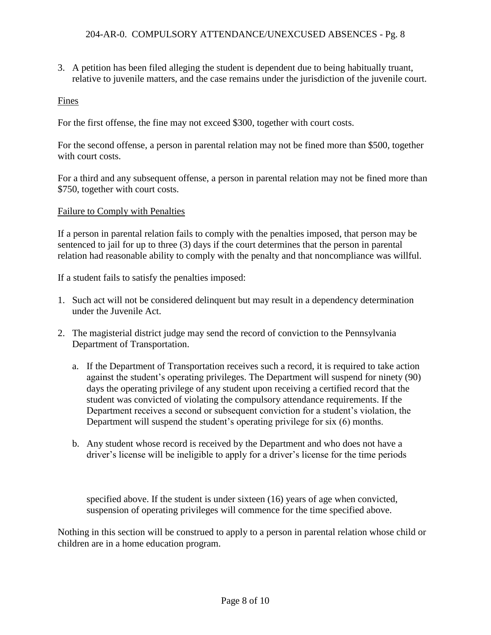3. A petition has been filed alleging the student is dependent due to being habitually truant, relative to juvenile matters, and the case remains under the jurisdiction of the juvenile court.

## Fines

For the first offense, the fine may not exceed \$300, together with court costs.

For the second offense, a person in parental relation may not be fined more than \$500, together with court costs.

For a third and any subsequent offense, a person in parental relation may not be fined more than \$750, together with court costs.

#### Failure to Comply with Penalties

If a person in parental relation fails to comply with the penalties imposed, that person may be sentenced to jail for up to three (3) days if the court determines that the person in parental relation had reasonable ability to comply with the penalty and that noncompliance was willful.

If a student fails to satisfy the penalties imposed:

- 1. Such act will not be considered delinquent but may result in a dependency determination under the Juvenile Act.
- 2. The magisterial district judge may send the record of conviction to the Pennsylvania Department of Transportation.
	- a. If the Department of Transportation receives such a record, it is required to take action against the student's operating privileges. The Department will suspend for ninety (90) days the operating privilege of any student upon receiving a certified record that the student was convicted of violating the compulsory attendance requirements. If the Department receives a second or subsequent conviction for a student's violation, the Department will suspend the student's operating privilege for six (6) months.
	- b. Any student whose record is received by the Department and who does not have a driver's license will be ineligible to apply for a driver's license for the time periods

specified above. If the student is under sixteen (16) years of age when convicted, suspension of operating privileges will commence for the time specified above.

Nothing in this section will be construed to apply to a person in parental relation whose child or children are in a home education program.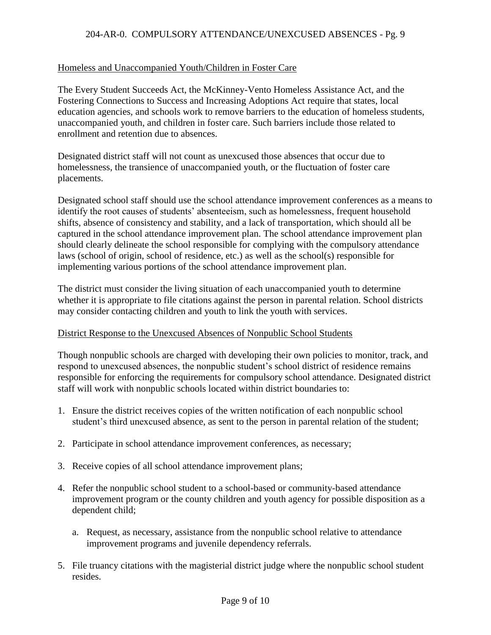### Homeless and Unaccompanied Youth/Children in Foster Care

The Every Student Succeeds Act, the McKinney-Vento Homeless Assistance Act, and the Fostering Connections to Success and Increasing Adoptions Act require that states, local education agencies, and schools work to remove barriers to the education of homeless students, unaccompanied youth, and children in foster care. Such barriers include those related to enrollment and retention due to absences.

Designated district staff will not count as unexcused those absences that occur due to homelessness, the transience of unaccompanied youth, or the fluctuation of foster care placements.

Designated school staff should use the school attendance improvement conferences as a means to identify the root causes of students' absenteeism, such as homelessness, frequent household shifts, absence of consistency and stability, and a lack of transportation, which should all be captured in the school attendance improvement plan. The school attendance improvement plan should clearly delineate the school responsible for complying with the compulsory attendance laws (school of origin, school of residence, etc.) as well as the school(s) responsible for implementing various portions of the school attendance improvement plan.

The district must consider the living situation of each unaccompanied youth to determine whether it is appropriate to file citations against the person in parental relation. School districts may consider contacting children and youth to link the youth with services.

#### District Response to the Unexcused Absences of Nonpublic School Students

Though nonpublic schools are charged with developing their own policies to monitor, track, and respond to unexcused absences, the nonpublic student's school district of residence remains responsible for enforcing the requirements for compulsory school attendance. Designated district staff will work with nonpublic schools located within district boundaries to:

- 1. Ensure the district receives copies of the written notification of each nonpublic school student's third unexcused absence, as sent to the person in parental relation of the student;
- 2. Participate in school attendance improvement conferences, as necessary;
- 3. Receive copies of all school attendance improvement plans;
- 4. Refer the nonpublic school student to a school-based or community-based attendance improvement program or the county children and youth agency for possible disposition as a dependent child;
	- a. Request, as necessary, assistance from the nonpublic school relative to attendance improvement programs and juvenile dependency referrals.
- 5. File truancy citations with the magisterial district judge where the nonpublic school student resides.